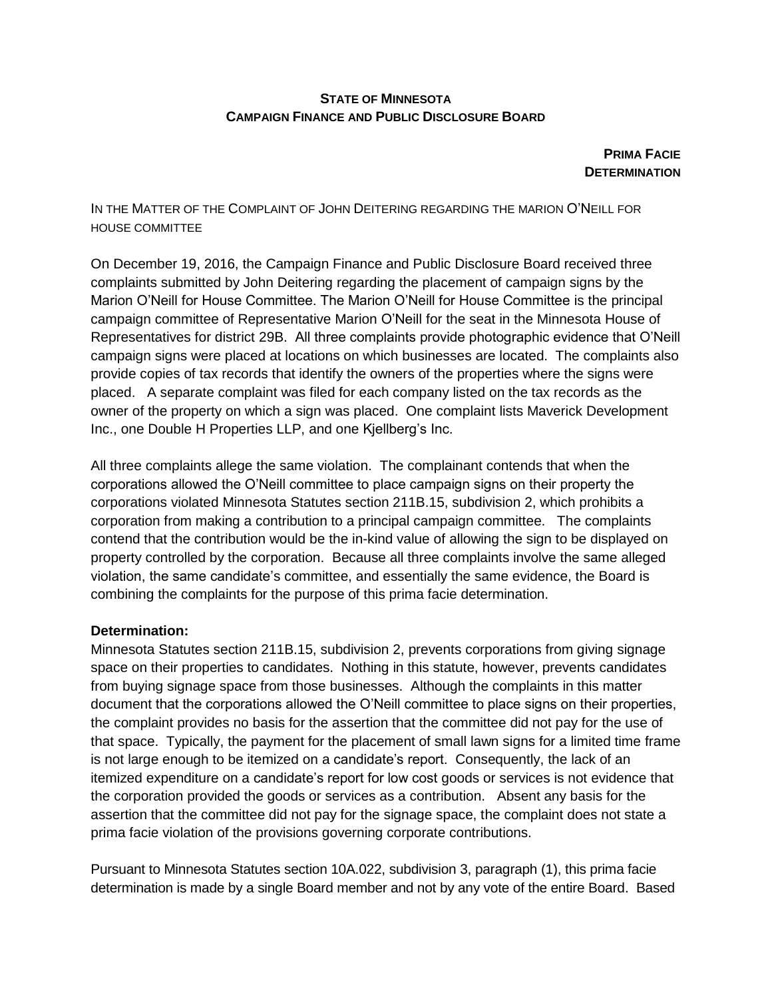## **STATE OF MINNESOTA CAMPAIGN FINANCE AND PUBLIC DISCLOSURE BOARD**

**PRIMA FACIE DETERMINATION** 

IN THE MATTER OF THE COMPLAINT OF JOHN DEITERING REGARDING THE MARION O'NEILL FOR HOUSE COMMITTEE

On December 19, 2016, the Campaign Finance and Public Disclosure Board received three complaints submitted by John Deitering regarding the placement of campaign signs by the Marion O'Neill for House Committee. The Marion O'Neill for House Committee is the principal campaign committee of Representative Marion O'Neill for the seat in the Minnesota House of Representatives for district 29B. All three complaints provide photographic evidence that O'Neill campaign signs were placed at locations on which businesses are located. The complaints also provide copies of tax records that identify the owners of the properties where the signs were placed. A separate complaint was filed for each company listed on the tax records as the owner of the property on which a sign was placed. One complaint lists Maverick Development Inc., one Double H Properties LLP, and one Kjellberg's Inc.

All three complaints allege the same violation. The complainant contends that when the corporations allowed the O'Neill committee to place campaign signs on their property the corporations violated Minnesota Statutes section 211B.15, subdivision 2, which prohibits a corporation from making a contribution to a principal campaign committee. The complaints contend that the contribution would be the in-kind value of allowing the sign to be displayed on property controlled by the corporation. Because all three complaints involve the same alleged violation, the same candidate's committee, and essentially the same evidence, the Board is combining the complaints for the purpose of this prima facie determination.

## **Determination:**

Minnesota Statutes section 211B.15, subdivision 2, prevents corporations from giving signage space on their properties to candidates. Nothing in this statute, however, prevents candidates from buying signage space from those businesses. Although the complaints in this matter document that the corporations allowed the O'Neill committee to place signs on their properties, the complaint provides no basis for the assertion that the committee did not pay for the use of that space. Typically, the payment for the placement of small lawn signs for a limited time frame is not large enough to be itemized on a candidate's report. Consequently, the lack of an itemized expenditure on a candidate's report for low cost goods or services is not evidence that the corporation provided the goods or services as a contribution. Absent any basis for the assertion that the committee did not pay for the signage space, the complaint does not state a prima facie violation of the provisions governing corporate contributions.

Pursuant to Minnesota Statutes section 10A.022, subdivision 3, paragraph (1), this prima facie determination is made by a single Board member and not by any vote of the entire Board. Based